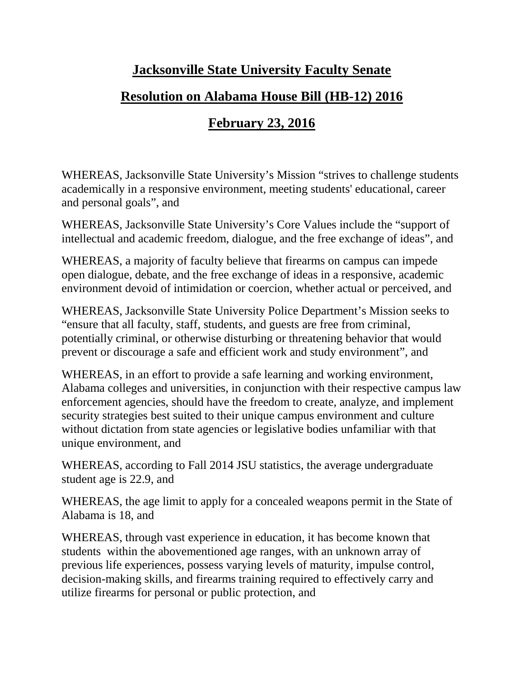## **Jacksonville State University Faculty Senate**

# **Resolution on Alabama House Bill (HB-12) 2016**

# **February 23, 2016**

WHEREAS, Jacksonville State University's Mission "strives to challenge students academically in a responsive environment, meeting students' educational, career and personal goals", and

WHEREAS, Jacksonville State University's Core Values include the "support of intellectual and academic freedom, dialogue, and the free exchange of ideas", and

WHEREAS, a majority of faculty believe that firearms on campus can impede open dialogue, debate, and the free exchange of ideas in a responsive, academic environment devoid of intimidation or coercion, whether actual or perceived, and

WHEREAS, Jacksonville State University Police Department's Mission seeks to "ensure that all faculty, staff, students, and guests are free from criminal, potentially criminal, or otherwise disturbing or threatening behavior that would prevent or discourage a safe and efficient work and study environment", and

WHEREAS, in an effort to provide a safe learning and working environment, Alabama colleges and universities, in conjunction with their respective campus law enforcement agencies, should have the freedom to create, analyze, and implement security strategies best suited to their unique campus environment and culture without dictation from state agencies or legislative bodies unfamiliar with that unique environment, and

WHEREAS, according to Fall 2014 JSU statistics, the average undergraduate student age is 22.9, and

WHEREAS, the age limit to apply for a concealed weapons permit in the State of Alabama is 18, and

WHEREAS, through vast experience in education, it has become known that students within the abovementioned age ranges, with an unknown array of previous life experiences, possess varying levels of maturity, impulse control, decision-making skills, and firearms training required to effectively carry and utilize firearms for personal or public protection, and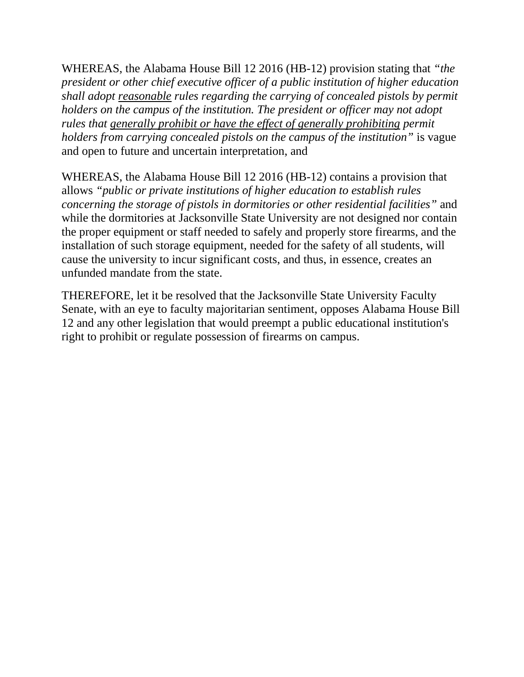WHEREAS, the Alabama House Bill 12 2016 (HB-12) provision stating that *"the president or other chief executive officer of a public institution of higher education shall adopt reasonable rules regarding the carrying of concealed pistols by permit holders on the campus of the institution. The president or officer may not adopt rules that generally prohibit or have the effect of generally prohibiting permit holders from carrying concealed pistols on the campus of the institution"* is vague and open to future and uncertain interpretation, and

WHEREAS, the Alabama House Bill 12 2016 (HB-12) contains a provision that allows *"public or private institutions of higher education to establish rules concerning the storage of pistols in dormitories or other residential facilities"* and while the dormitories at Jacksonville State University are not designed nor contain the proper equipment or staff needed to safely and properly store firearms, and the installation of such storage equipment, needed for the safety of all students, will cause the university to incur significant costs, and thus, in essence, creates an unfunded mandate from the state.

THEREFORE, let it be resolved that the Jacksonville State University Faculty Senate, with an eye to faculty majoritarian sentiment, opposes Alabama House Bill 12 and any other legislation that would preempt a public educational institution's right to prohibit or regulate possession of firearms on campus.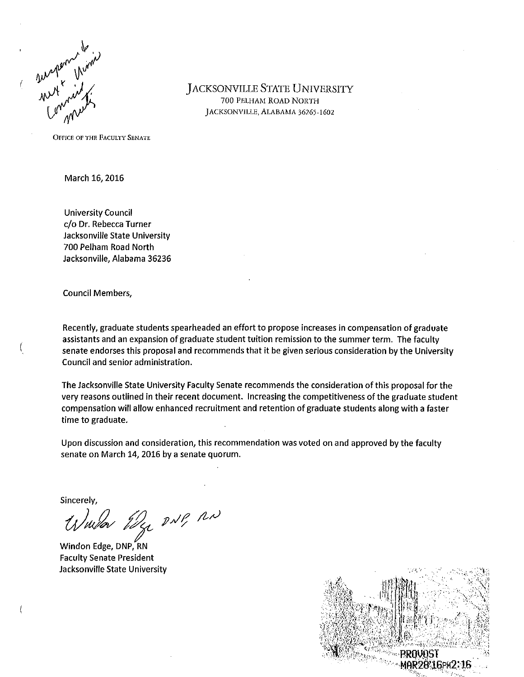

**JACKSONVILLE STATE UNIVERSITY** 700 PELHAM ROAD NORTH JACKSONVILLE, ALABAMA 36265-1602

**OFFICE OF THE FACULTY SENATE** 

March 16, 2016

**University Council** c/o Dr. Rebecca Turner Jacksonville State University 700 Pelham Road North Jacksonville, Alabama 36236

**Council Members,** 

Recently, graduate students spearheaded an effort to propose increases in compensation of graduate assistants and an expansion of graduate student tuition remission to the summer term. The faculty senate endorses this proposal and recommends that it be given serious consideration by the University Council and senior administration.

The Jacksonville State University Faculty Senate recommends the consideration of this proposal for the very reasons outlined in their recent document. Increasing the competitiveness of the graduate student compensation will allow enhanced recruitment and retention of graduate students along with a faster time to graduate.

Upon discussion and consideration, this recommendation was voted on and approved by the faculty senate on March 14, 2016 by a senate quorum.

Sincerely,

Warden Edge DNP, RN

Windon Edge, DNP, RN **Faculty Senate President** Jacksonville State University

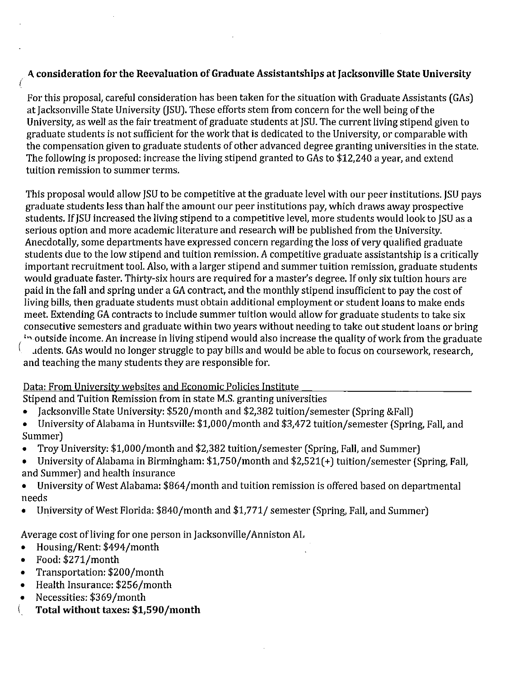## A consideration for the Reevaluation of Graduate Assistantships at Jacksonville State University

For this proposal, careful consideration has been taken for the situation with Graduate Assistants (GAs) at Jacksonville State University (ISU). These efforts stem from concern for the well being of the University, as well as the fair treatment of graduate students at JSU. The current living stipend given to graduate students is not sufficient for the work that is dedicated to the University, or comparable with the compensation given to graduate students of other advanced degree granting universities in the state. The following is proposed: increase the living stipend granted to GAs to \$12,240 a year, and extend tuition remission to summer terms.

This proposal would allow JSU to be competitive at the graduate level with our peer institutions. JSU pays graduate students less than half the amount our peer institutions pay, which draws away prospective students. If JSU increased the living stipend to a competitive level, more students would look to JSU as a serious option and more academic literature and research will be published from the University. Anecdotally, some departments have expressed concern regarding the loss of very qualified graduate students due to the low stipend and tuition remission. A competitive graduate assistantship is a critically important recruitment tool. Also, with a larger stipend and summer tuition remission, graduate students would graduate faster. Thirty-six hours are required for a master's degree. If only six tuition hours are paid in the fall and spring under a GA contract, and the monthly stipend insufficient to pay the cost of living bills, then graduate students must obtain additional employment or student loans to make ends meet. Extending GA contracts to include summer tuition would allow for graduate students to take six consecutive semesters and graduate within two years without needing to take out student loans or bring in outside income. An increase in living stipend would also increase the quality of work from the graduate

udents. GAs would no longer struggle to pay bills and would be able to focus on coursework, research, and teaching the many students they are responsible for.

### Data: From University websites and Economic Policies Institute

Stipend and Tuition Remission from in state M.S. granting universities

- Jacksonville State University: \$520/month and \$2,382 tuition/semester (Spring & Fall)
- University of Alabama in Huntsville: \$1,000/month and \$3,472 tuition/semester (Spring, Fall, and  $\bullet$ Summer)
- Troy University: \$1,000/month and \$2,382 tuition/semester (Spring, Fall, and Summer)  $\bullet$
- University of Alabama in Birmingham: \$1,750/month and \$2,521(+) tuition/semester (Spring, Fall,  $\bullet$ and Summer) and health insurance
- University of West Alabama: \$864/month and tuition remission is offered based on departmental  $\bullet$ needs
- University of West Florida: \$840/month and \$1,771/ semester (Spring, Fall, and Summer)

Average cost of living for one person in Jacksonville/Anniston AL

- Housing/Rent: \$494/month
- Food: \$271/month
- Transportation: \$200/month
- Health Insurance: \$256/month
- Necessities: \$369/month
- Total without taxes: \$1,590/month €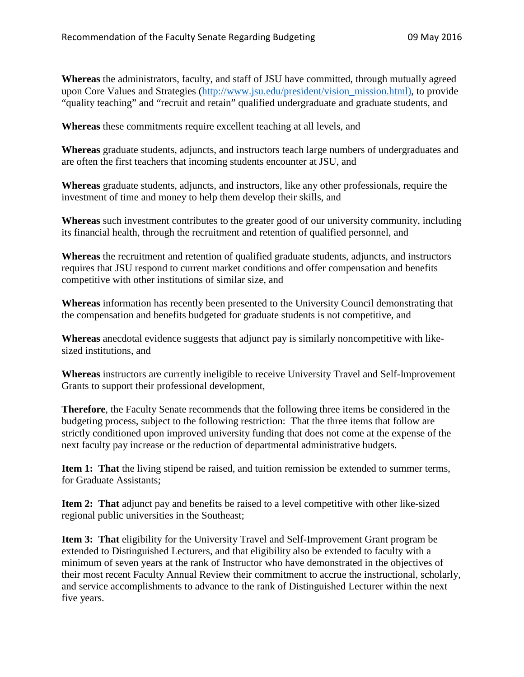**Whereas** the administrators, faculty, and staff of JSU have committed, through mutually agreed upon Core Values and Strategies [\(http://www.jsu.edu/president/vision\\_mission.html\),](http://www.jsu.edu/president/vision_mission.html)) to provide "quality teaching" and "recruit and retain" qualified undergraduate and graduate students, and

**Whereas** these commitments require excellent teaching at all levels, and

**Whereas** graduate students, adjuncts, and instructors teach large numbers of undergraduates and are often the first teachers that incoming students encounter at JSU, and

**Whereas** graduate students, adjuncts, and instructors, like any other professionals, require the investment of time and money to help them develop their skills, and

**Whereas** such investment contributes to the greater good of our university community, including its financial health, through the recruitment and retention of qualified personnel, and

**Whereas** the recruitment and retention of qualified graduate students, adjuncts, and instructors requires that JSU respond to current market conditions and offer compensation and benefits competitive with other institutions of similar size, and

**Whereas** information has recently been presented to the University Council demonstrating that the compensation and benefits budgeted for graduate students is not competitive, and

**Whereas** anecdotal evidence suggests that adjunct pay is similarly noncompetitive with likesized institutions, and

**Whereas** instructors are currently ineligible to receive University Travel and Self-Improvement Grants to support their professional development,

**Therefore**, the Faculty Senate recommends that the following three items be considered in the budgeting process, subject to the following restriction: That the three items that follow are strictly conditioned upon improved university funding that does not come at the expense of the next faculty pay increase or the reduction of departmental administrative budgets.

**Item 1: That** the living stipend be raised, and tuition remission be extended to summer terms, for Graduate Assistants;

**Item 2: That** adjunct pay and benefits be raised to a level competitive with other like-sized regional public universities in the Southeast;

**Item 3: That** eligibility for the University Travel and Self-Improvement Grant program be extended to Distinguished Lecturers, and that eligibility also be extended to faculty with a minimum of seven years at the rank of Instructor who have demonstrated in the objectives of their most recent Faculty Annual Review their commitment to accrue the instructional, scholarly, and service accomplishments to advance to the rank of Distinguished Lecturer within the next five years.